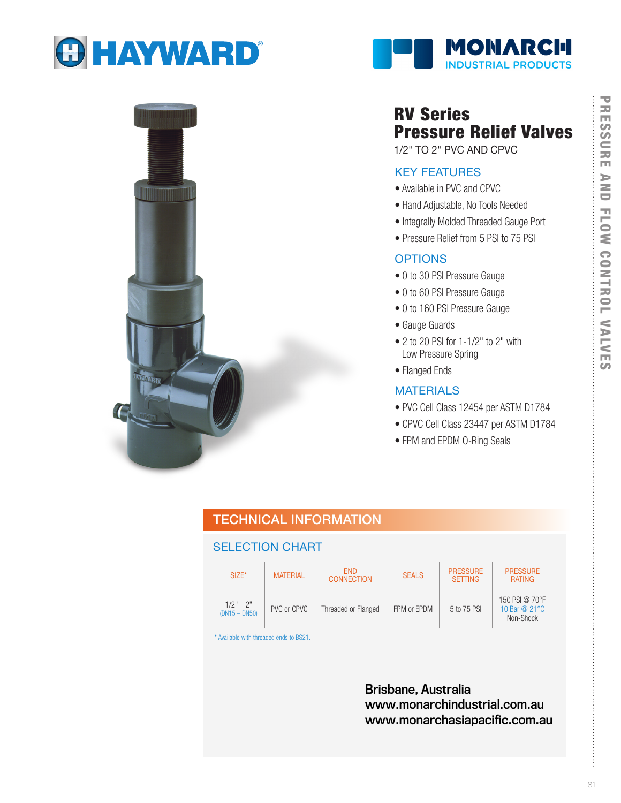





# RV Series Pressure Relief Valves

1/2" TO 2" PVC AND CPVC

#### KEY FEATURES

- Available in PVC and CPVC
- Hand Adjustable, No Tools Needed
- Integrally Molded Threaded Gauge Port
- Pressure Relief from 5 PSI to 75 PSI

### **OPTIONS**

- 0 to 30 PSI Pressure Gauge
- 0 to 60 PSI Pressure Gauge
- 0 to 160 PSI Pressure Gauge
- Gauge Guards
- 2 to 20 PSI for 1-1/2" to 2" with Low Pressure Spring
- Flanged Ends

### **MATERIALS**

- PVC Cell Class 12454 per ASTM D1784
- CPVC Cell Class 23447 per ASTM D1784
- FPM and EPDM O-Ring Seals

### TECHNICAL INFORMATION

### SELECTION CHART

| $SIZE^*$                       | <b>MATERIAL</b> | <b>FND</b><br><b>CONNECTION</b> | <b>SEALS</b> | <b>PRESSURE</b><br><b>SETTING</b> | <b>PRESSURE</b><br><b>RATING</b>              |
|--------------------------------|-----------------|---------------------------------|--------------|-----------------------------------|-----------------------------------------------|
| $1/2" - 2"$<br>$(DN15 - DN50)$ | PVC or CPVC     | Threaded or Flanged             | FPM or EPDM  | 5 to 75 PSI                       | 150 PSI @ 70°F<br>10 Bar @ 21 °C<br>Non-Shock |

\* Available with threaded ends to BS21.

Brisbane, Australia www.monarchindustrial.com.au www.monarchasiapacific.com.au